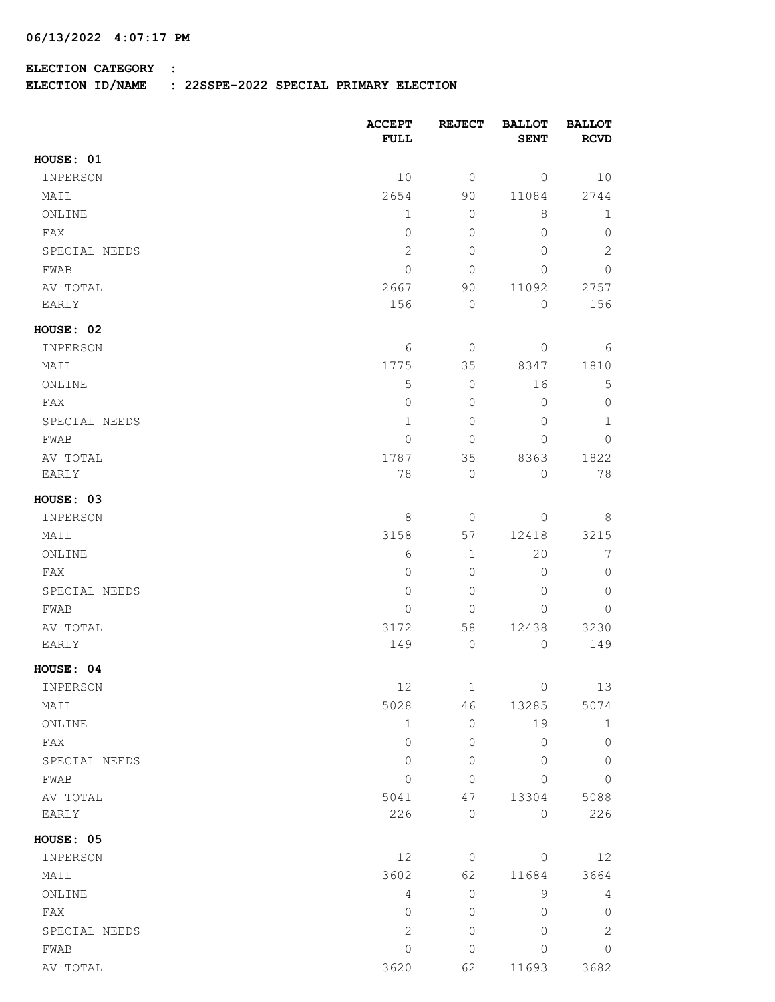## **06/13/2022 4:07:17 PM**

## **ELECTION CATEGORY :**

**ELECTION ID/NAME : 22SSPE-2022 SPECIAL PRIMARY ELECTION**

| HOUSE: 01<br>INPERSON<br>10<br>$\circ$<br>0<br>10<br>2654<br>90<br>11084<br>2744<br>MAIL<br>$\overline{0}$<br>8<br>ONLINE<br>1<br>1<br>$\circledcirc$<br>FAX<br>$\circ$<br>0<br>$\circ$<br>$\overline{c}$<br>$\mathbf{2}$<br>$\overline{0}$<br>0<br>SPECIAL NEEDS<br>0<br>$\mathbf 0$<br>FWAB<br>$\mathbf{0}$<br>$\Omega$<br>2667<br>11092<br>2757<br>AV TOTAL<br>90<br>156<br>156<br>EARLY<br>$\circ$<br>$\mathbf{0}$<br>6<br>$\mathbb O$<br>INPERSON<br>$\mathbf{0}$<br>6<br>1775<br>35<br>MAIL<br>8347<br>1810<br>5<br>5<br>$\overline{0}$<br>ONLINE<br>16<br>0<br>$\mathbf 0$<br>$\mathbb O$<br>$\mathbb O$<br>FAX<br>$\mathbf 1$<br>$\mathbf 0$<br>$\overline{0}$<br>SPECIAL NEEDS<br>$\mathbf 1$<br>0<br>$\mathbf 0$<br>FWAB<br>$\Omega$<br>$\circ$<br>1787<br>35<br>8363<br>1822<br>AV TOTAL<br>78<br>$\mathbb O$<br>$\mathbb O$<br>78<br>EARLY<br>INPERSON<br>8<br>$\circ$<br>$\circ$<br>8<br>57<br>MAIL<br>3158<br>12418<br>3215<br>6<br>$\mathbf{1}$<br>20<br>7<br>ONLINE<br>$\mathbb O$<br>FAX<br>0<br>$\mathbf{0}$<br>$\overline{0}$<br>$\mathbf 0$<br>$\mathbb O$<br>SPECIAL NEEDS<br>0<br>$\overline{0}$<br>$\mathbf 0$<br>FWAB<br>0<br>$\overline{0}$<br>$\circ$<br>3172<br>58<br>12438<br>3230<br>AV TOTAL<br>$\mathbb O$<br>$\mathsf{O}$<br>EARLY<br>149<br>149<br>12<br>$\mathbf 1$<br>$\mathsf{O}$<br>13<br>INPERSON<br>5028<br>46<br>5074<br>MAIL<br>13285<br>$\mathbf{1}$<br>ONLINE<br>0<br>19<br>1<br>0<br>$\overline{0}$<br>$\mathbb O$<br>FAX<br>$\mathbf{0}$<br>0<br>$\mathbf 0$<br>$\mathbb O$<br>SPECIAL NEEDS<br>$\circ$<br>FWAB<br>0<br>$\mathbf{0}$<br>$\overline{0}$<br>$\circ$<br>5041<br>47<br>13304<br>5088<br>AV TOTAL<br>226<br>$\mathbb O$<br>$\mathbf{0}$<br>226<br>EARLY<br>12<br>$\mathbb O$<br>12<br>INPERSON<br>$\circ$<br>3602<br>62<br>11684<br>3664<br>MAIL<br>$\overline{4}$<br>$\mathbb O$<br>$\mathsf 9$<br>ONLINE<br>$\overline{4}$<br>$\mathbb O$<br>0<br>$\mathbf 0$<br>$\circ$<br>FAX<br>$\sqrt{2}$<br>$\mathbf{2}$<br>$\circ$<br>$\circ$<br>SPECIAL NEEDS<br>$\mathbb O$<br>$\mathbb O$<br>0<br>$\mathbf 0$<br>FWAB |           | <b>ACCEPT</b> | <b>REJECT</b> | <b>BALLOT</b><br><b>SENT</b> | <b>BALLOT</b><br><b>RCVD</b> |
|--------------------------------------------------------------------------------------------------------------------------------------------------------------------------------------------------------------------------------------------------------------------------------------------------------------------------------------------------------------------------------------------------------------------------------------------------------------------------------------------------------------------------------------------------------------------------------------------------------------------------------------------------------------------------------------------------------------------------------------------------------------------------------------------------------------------------------------------------------------------------------------------------------------------------------------------------------------------------------------------------------------------------------------------------------------------------------------------------------------------------------------------------------------------------------------------------------------------------------------------------------------------------------------------------------------------------------------------------------------------------------------------------------------------------------------------------------------------------------------------------------------------------------------------------------------------------------------------------------------------------------------------------------------------------------------------------------------------------------------------------------------------------------------------------------------------------------------------------------------------------------------------------------------------------------------------------------------------------------------------------------------------------------------------------------------------------|-----------|---------------|---------------|------------------------------|------------------------------|
|                                                                                                                                                                                                                                                                                                                                                                                                                                                                                                                                                                                                                                                                                                                                                                                                                                                                                                                                                                                                                                                                                                                                                                                                                                                                                                                                                                                                                                                                                                                                                                                                                                                                                                                                                                                                                                                                                                                                                                                                                                                                          |           | <b>FULL</b>   |               |                              |                              |
|                                                                                                                                                                                                                                                                                                                                                                                                                                                                                                                                                                                                                                                                                                                                                                                                                                                                                                                                                                                                                                                                                                                                                                                                                                                                                                                                                                                                                                                                                                                                                                                                                                                                                                                                                                                                                                                                                                                                                                                                                                                                          |           |               |               |                              |                              |
|                                                                                                                                                                                                                                                                                                                                                                                                                                                                                                                                                                                                                                                                                                                                                                                                                                                                                                                                                                                                                                                                                                                                                                                                                                                                                                                                                                                                                                                                                                                                                                                                                                                                                                                                                                                                                                                                                                                                                                                                                                                                          |           |               |               |                              |                              |
|                                                                                                                                                                                                                                                                                                                                                                                                                                                                                                                                                                                                                                                                                                                                                                                                                                                                                                                                                                                                                                                                                                                                                                                                                                                                                                                                                                                                                                                                                                                                                                                                                                                                                                                                                                                                                                                                                                                                                                                                                                                                          |           |               |               |                              |                              |
|                                                                                                                                                                                                                                                                                                                                                                                                                                                                                                                                                                                                                                                                                                                                                                                                                                                                                                                                                                                                                                                                                                                                                                                                                                                                                                                                                                                                                                                                                                                                                                                                                                                                                                                                                                                                                                                                                                                                                                                                                                                                          |           |               |               |                              |                              |
|                                                                                                                                                                                                                                                                                                                                                                                                                                                                                                                                                                                                                                                                                                                                                                                                                                                                                                                                                                                                                                                                                                                                                                                                                                                                                                                                                                                                                                                                                                                                                                                                                                                                                                                                                                                                                                                                                                                                                                                                                                                                          |           |               |               |                              |                              |
|                                                                                                                                                                                                                                                                                                                                                                                                                                                                                                                                                                                                                                                                                                                                                                                                                                                                                                                                                                                                                                                                                                                                                                                                                                                                                                                                                                                                                                                                                                                                                                                                                                                                                                                                                                                                                                                                                                                                                                                                                                                                          |           |               |               |                              |                              |
|                                                                                                                                                                                                                                                                                                                                                                                                                                                                                                                                                                                                                                                                                                                                                                                                                                                                                                                                                                                                                                                                                                                                                                                                                                                                                                                                                                                                                                                                                                                                                                                                                                                                                                                                                                                                                                                                                                                                                                                                                                                                          |           |               |               |                              |                              |
|                                                                                                                                                                                                                                                                                                                                                                                                                                                                                                                                                                                                                                                                                                                                                                                                                                                                                                                                                                                                                                                                                                                                                                                                                                                                                                                                                                                                                                                                                                                                                                                                                                                                                                                                                                                                                                                                                                                                                                                                                                                                          |           |               |               |                              |                              |
|                                                                                                                                                                                                                                                                                                                                                                                                                                                                                                                                                                                                                                                                                                                                                                                                                                                                                                                                                                                                                                                                                                                                                                                                                                                                                                                                                                                                                                                                                                                                                                                                                                                                                                                                                                                                                                                                                                                                                                                                                                                                          |           |               |               |                              |                              |
|                                                                                                                                                                                                                                                                                                                                                                                                                                                                                                                                                                                                                                                                                                                                                                                                                                                                                                                                                                                                                                                                                                                                                                                                                                                                                                                                                                                                                                                                                                                                                                                                                                                                                                                                                                                                                                                                                                                                                                                                                                                                          | HOUSE: 02 |               |               |                              |                              |
|                                                                                                                                                                                                                                                                                                                                                                                                                                                                                                                                                                                                                                                                                                                                                                                                                                                                                                                                                                                                                                                                                                                                                                                                                                                                                                                                                                                                                                                                                                                                                                                                                                                                                                                                                                                                                                                                                                                                                                                                                                                                          |           |               |               |                              |                              |
|                                                                                                                                                                                                                                                                                                                                                                                                                                                                                                                                                                                                                                                                                                                                                                                                                                                                                                                                                                                                                                                                                                                                                                                                                                                                                                                                                                                                                                                                                                                                                                                                                                                                                                                                                                                                                                                                                                                                                                                                                                                                          |           |               |               |                              |                              |
|                                                                                                                                                                                                                                                                                                                                                                                                                                                                                                                                                                                                                                                                                                                                                                                                                                                                                                                                                                                                                                                                                                                                                                                                                                                                                                                                                                                                                                                                                                                                                                                                                                                                                                                                                                                                                                                                                                                                                                                                                                                                          |           |               |               |                              |                              |
|                                                                                                                                                                                                                                                                                                                                                                                                                                                                                                                                                                                                                                                                                                                                                                                                                                                                                                                                                                                                                                                                                                                                                                                                                                                                                                                                                                                                                                                                                                                                                                                                                                                                                                                                                                                                                                                                                                                                                                                                                                                                          |           |               |               |                              |                              |
|                                                                                                                                                                                                                                                                                                                                                                                                                                                                                                                                                                                                                                                                                                                                                                                                                                                                                                                                                                                                                                                                                                                                                                                                                                                                                                                                                                                                                                                                                                                                                                                                                                                                                                                                                                                                                                                                                                                                                                                                                                                                          |           |               |               |                              |                              |
|                                                                                                                                                                                                                                                                                                                                                                                                                                                                                                                                                                                                                                                                                                                                                                                                                                                                                                                                                                                                                                                                                                                                                                                                                                                                                                                                                                                                                                                                                                                                                                                                                                                                                                                                                                                                                                                                                                                                                                                                                                                                          |           |               |               |                              |                              |
|                                                                                                                                                                                                                                                                                                                                                                                                                                                                                                                                                                                                                                                                                                                                                                                                                                                                                                                                                                                                                                                                                                                                                                                                                                                                                                                                                                                                                                                                                                                                                                                                                                                                                                                                                                                                                                                                                                                                                                                                                                                                          |           |               |               |                              |                              |
|                                                                                                                                                                                                                                                                                                                                                                                                                                                                                                                                                                                                                                                                                                                                                                                                                                                                                                                                                                                                                                                                                                                                                                                                                                                                                                                                                                                                                                                                                                                                                                                                                                                                                                                                                                                                                                                                                                                                                                                                                                                                          |           |               |               |                              |                              |
|                                                                                                                                                                                                                                                                                                                                                                                                                                                                                                                                                                                                                                                                                                                                                                                                                                                                                                                                                                                                                                                                                                                                                                                                                                                                                                                                                                                                                                                                                                                                                                                                                                                                                                                                                                                                                                                                                                                                                                                                                                                                          | HOUSE: 03 |               |               |                              |                              |
|                                                                                                                                                                                                                                                                                                                                                                                                                                                                                                                                                                                                                                                                                                                                                                                                                                                                                                                                                                                                                                                                                                                                                                                                                                                                                                                                                                                                                                                                                                                                                                                                                                                                                                                                                                                                                                                                                                                                                                                                                                                                          |           |               |               |                              |                              |
|                                                                                                                                                                                                                                                                                                                                                                                                                                                                                                                                                                                                                                                                                                                                                                                                                                                                                                                                                                                                                                                                                                                                                                                                                                                                                                                                                                                                                                                                                                                                                                                                                                                                                                                                                                                                                                                                                                                                                                                                                                                                          |           |               |               |                              |                              |
|                                                                                                                                                                                                                                                                                                                                                                                                                                                                                                                                                                                                                                                                                                                                                                                                                                                                                                                                                                                                                                                                                                                                                                                                                                                                                                                                                                                                                                                                                                                                                                                                                                                                                                                                                                                                                                                                                                                                                                                                                                                                          |           |               |               |                              |                              |
|                                                                                                                                                                                                                                                                                                                                                                                                                                                                                                                                                                                                                                                                                                                                                                                                                                                                                                                                                                                                                                                                                                                                                                                                                                                                                                                                                                                                                                                                                                                                                                                                                                                                                                                                                                                                                                                                                                                                                                                                                                                                          |           |               |               |                              |                              |
|                                                                                                                                                                                                                                                                                                                                                                                                                                                                                                                                                                                                                                                                                                                                                                                                                                                                                                                                                                                                                                                                                                                                                                                                                                                                                                                                                                                                                                                                                                                                                                                                                                                                                                                                                                                                                                                                                                                                                                                                                                                                          |           |               |               |                              |                              |
|                                                                                                                                                                                                                                                                                                                                                                                                                                                                                                                                                                                                                                                                                                                                                                                                                                                                                                                                                                                                                                                                                                                                                                                                                                                                                                                                                                                                                                                                                                                                                                                                                                                                                                                                                                                                                                                                                                                                                                                                                                                                          |           |               |               |                              |                              |
|                                                                                                                                                                                                                                                                                                                                                                                                                                                                                                                                                                                                                                                                                                                                                                                                                                                                                                                                                                                                                                                                                                                                                                                                                                                                                                                                                                                                                                                                                                                                                                                                                                                                                                                                                                                                                                                                                                                                                                                                                                                                          |           |               |               |                              |                              |
|                                                                                                                                                                                                                                                                                                                                                                                                                                                                                                                                                                                                                                                                                                                                                                                                                                                                                                                                                                                                                                                                                                                                                                                                                                                                                                                                                                                                                                                                                                                                                                                                                                                                                                                                                                                                                                                                                                                                                                                                                                                                          |           |               |               |                              |                              |
|                                                                                                                                                                                                                                                                                                                                                                                                                                                                                                                                                                                                                                                                                                                                                                                                                                                                                                                                                                                                                                                                                                                                                                                                                                                                                                                                                                                                                                                                                                                                                                                                                                                                                                                                                                                                                                                                                                                                                                                                                                                                          | HOUSE: 04 |               |               |                              |                              |
|                                                                                                                                                                                                                                                                                                                                                                                                                                                                                                                                                                                                                                                                                                                                                                                                                                                                                                                                                                                                                                                                                                                                                                                                                                                                                                                                                                                                                                                                                                                                                                                                                                                                                                                                                                                                                                                                                                                                                                                                                                                                          |           |               |               |                              |                              |
|                                                                                                                                                                                                                                                                                                                                                                                                                                                                                                                                                                                                                                                                                                                                                                                                                                                                                                                                                                                                                                                                                                                                                                                                                                                                                                                                                                                                                                                                                                                                                                                                                                                                                                                                                                                                                                                                                                                                                                                                                                                                          |           |               |               |                              |                              |
|                                                                                                                                                                                                                                                                                                                                                                                                                                                                                                                                                                                                                                                                                                                                                                                                                                                                                                                                                                                                                                                                                                                                                                                                                                                                                                                                                                                                                                                                                                                                                                                                                                                                                                                                                                                                                                                                                                                                                                                                                                                                          |           |               |               |                              |                              |
|                                                                                                                                                                                                                                                                                                                                                                                                                                                                                                                                                                                                                                                                                                                                                                                                                                                                                                                                                                                                                                                                                                                                                                                                                                                                                                                                                                                                                                                                                                                                                                                                                                                                                                                                                                                                                                                                                                                                                                                                                                                                          |           |               |               |                              |                              |
|                                                                                                                                                                                                                                                                                                                                                                                                                                                                                                                                                                                                                                                                                                                                                                                                                                                                                                                                                                                                                                                                                                                                                                                                                                                                                                                                                                                                                                                                                                                                                                                                                                                                                                                                                                                                                                                                                                                                                                                                                                                                          |           |               |               |                              |                              |
|                                                                                                                                                                                                                                                                                                                                                                                                                                                                                                                                                                                                                                                                                                                                                                                                                                                                                                                                                                                                                                                                                                                                                                                                                                                                                                                                                                                                                                                                                                                                                                                                                                                                                                                                                                                                                                                                                                                                                                                                                                                                          |           |               |               |                              |                              |
|                                                                                                                                                                                                                                                                                                                                                                                                                                                                                                                                                                                                                                                                                                                                                                                                                                                                                                                                                                                                                                                                                                                                                                                                                                                                                                                                                                                                                                                                                                                                                                                                                                                                                                                                                                                                                                                                                                                                                                                                                                                                          |           |               |               |                              |                              |
|                                                                                                                                                                                                                                                                                                                                                                                                                                                                                                                                                                                                                                                                                                                                                                                                                                                                                                                                                                                                                                                                                                                                                                                                                                                                                                                                                                                                                                                                                                                                                                                                                                                                                                                                                                                                                                                                                                                                                                                                                                                                          |           |               |               |                              |                              |
|                                                                                                                                                                                                                                                                                                                                                                                                                                                                                                                                                                                                                                                                                                                                                                                                                                                                                                                                                                                                                                                                                                                                                                                                                                                                                                                                                                                                                                                                                                                                                                                                                                                                                                                                                                                                                                                                                                                                                                                                                                                                          | HOUSE: 05 |               |               |                              |                              |
|                                                                                                                                                                                                                                                                                                                                                                                                                                                                                                                                                                                                                                                                                                                                                                                                                                                                                                                                                                                                                                                                                                                                                                                                                                                                                                                                                                                                                                                                                                                                                                                                                                                                                                                                                                                                                                                                                                                                                                                                                                                                          |           |               |               |                              |                              |
|                                                                                                                                                                                                                                                                                                                                                                                                                                                                                                                                                                                                                                                                                                                                                                                                                                                                                                                                                                                                                                                                                                                                                                                                                                                                                                                                                                                                                                                                                                                                                                                                                                                                                                                                                                                                                                                                                                                                                                                                                                                                          |           |               |               |                              |                              |
|                                                                                                                                                                                                                                                                                                                                                                                                                                                                                                                                                                                                                                                                                                                                                                                                                                                                                                                                                                                                                                                                                                                                                                                                                                                                                                                                                                                                                                                                                                                                                                                                                                                                                                                                                                                                                                                                                                                                                                                                                                                                          |           |               |               |                              |                              |
|                                                                                                                                                                                                                                                                                                                                                                                                                                                                                                                                                                                                                                                                                                                                                                                                                                                                                                                                                                                                                                                                                                                                                                                                                                                                                                                                                                                                                                                                                                                                                                                                                                                                                                                                                                                                                                                                                                                                                                                                                                                                          |           |               |               |                              |                              |
|                                                                                                                                                                                                                                                                                                                                                                                                                                                                                                                                                                                                                                                                                                                                                                                                                                                                                                                                                                                                                                                                                                                                                                                                                                                                                                                                                                                                                                                                                                                                                                                                                                                                                                                                                                                                                                                                                                                                                                                                                                                                          |           |               |               |                              |                              |
|                                                                                                                                                                                                                                                                                                                                                                                                                                                                                                                                                                                                                                                                                                                                                                                                                                                                                                                                                                                                                                                                                                                                                                                                                                                                                                                                                                                                                                                                                                                                                                                                                                                                                                                                                                                                                                                                                                                                                                                                                                                                          |           |               |               |                              |                              |
|                                                                                                                                                                                                                                                                                                                                                                                                                                                                                                                                                                                                                                                                                                                                                                                                                                                                                                                                                                                                                                                                                                                                                                                                                                                                                                                                                                                                                                                                                                                                                                                                                                                                                                                                                                                                                                                                                                                                                                                                                                                                          | AV TOTAL  | 3620          | 62            | 11693                        | 3682                         |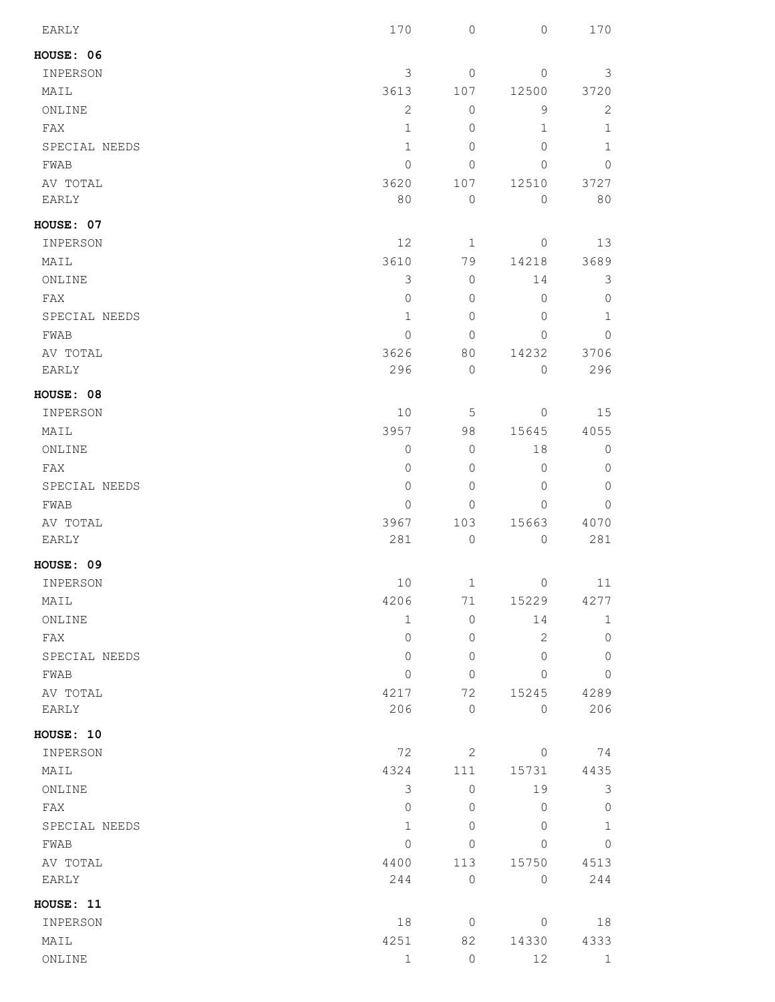| EARLY         | 170                 | $\mathbb O$         | $\circ$        | 170            |
|---------------|---------------------|---------------------|----------------|----------------|
| HOUSE: 06     |                     |                     |                |                |
| INPERSON      | 3                   | 0                   | $\circ$        | 3              |
| MAIL          | 3613                | 107                 | 12500          | 3720           |
| ONLINE        | $\mathbf{2}$        | 0                   | 9              | 2              |
| FAX           | $\mathbf 1$         | 0                   | 1              | $\mathbf 1$    |
| SPECIAL NEEDS | $\mathbf 1$         | 0                   | 0              | $\mathbf{1}$   |
| FWAB          | 0                   | 0                   | 0              | $\mathbf{0}$   |
| AV TOTAL      | 3620                | 107                 | 12510          | 3727           |
| EARLY         | 80                  | 0                   | $\mathbb O$    | 80             |
| HOUSE: 07     |                     |                     |                |                |
| INPERSON      | 12                  | 1                   | $\mathbf 0$    | 13             |
| MAIL          | 3610                | 79                  | 14218          | 3689           |
| ONLINE        | 3                   | 0                   | 14             | 3              |
| FAX           | 0                   | 0                   | $\mathbb O$    | $\mathbb O$    |
| SPECIAL NEEDS | $\mathbf{1}$        | 0                   | $\overline{0}$ | $\mathbf 1$    |
| FWAB          | 0                   | $\mathbf 0$         | $\overline{0}$ | 0              |
| AV TOTAL      | 3626                | 80                  | 14232          | 3706           |
| EARLY         | 296                 | 0                   | $\mathbf 0$    | 296            |
| HOUSE: 08     |                     |                     |                |                |
| INPERSON      | 10                  | 5                   | $\mathbf 0$    | 15             |
| MAIL          | 3957                | 98                  | 15645          | 4055           |
| ONLINE        | 0                   | 0                   | 18             | $\mathbb O$    |
| FAX           | 0                   | 0                   | $\mathbf 0$    | $\mathbf 0$    |
| SPECIAL NEEDS | 0                   | 0                   | $\overline{0}$ | $\mathbb O$    |
| FWAB          | 0                   | 0                   | $\overline{0}$ | 0              |
| AV TOTAL      | 3967                | 103                 | 15663          | 4070           |
| EARLY         | 281                 | $\mathsf O$         | $\mathbf 0$    | 281            |
| HOUSE: 09     |                     |                     |                |                |
| INPERSON      | 10                  | 1                   | $\mathbf 0$    | 11             |
| MAIL          | 4206                | 71                  | 15229          | 4277           |
| ONLINE        | $\mathbf{1}$        | 0                   | 14             | 1              |
| FAX           | $\mathsf{O}\xspace$ | 0                   | $\overline{c}$ | $\mathbb O$    |
| SPECIAL NEEDS | $\mathbb O$         | 0                   | $\overline{0}$ | $\mathbb O$    |
| FWAB          | $\mathsf{O}\xspace$ | 0                   | $\overline{0}$ | $\overline{0}$ |
| AV TOTAL      | 4217                | 72                  | 15245          | 4289           |
| EARLY         | 206                 | $\mathsf{O}\xspace$ | $\circ$        | 206            |
| HOUSE: 10     |                     |                     |                |                |
| INPERSON      | 72                  | $\overline{c}$      | $\mathbb O$    | 74             |
| MAIL          | 4324                | 111                 | 15731          | 4435           |
| ONLINE        | $\mathfrak{Z}$      | $\mathsf O$         | 19             | $\mathsf 3$    |
| FAX           | $\mathbb O$         | 0                   | $\overline{0}$ | $\mathbb O$    |
| SPECIAL NEEDS | $\mathbf{1}$        | 0                   | $\circ$        | $\mathbf{1}$   |
| FWAB          | 0                   | 0                   | $\mathbf{0}$   | $\overline{0}$ |
| AV TOTAL      | 4400                | 113                 | 15750          | 4513           |
| EARLY         | 244                 | $\mathsf{O}\xspace$ | $\circledcirc$ | 244            |
| HOUSE: 11     |                     |                     |                |                |
| INPERSON      | 18                  | 0                   | $\overline{0}$ | 18             |
| MAIL          | 4251                | 82                  | 14330          | 4333           |
| ONLINE        | $\mathbf 1$         | $\mathsf{O}\xspace$ | 12             | $\mathbf 1$    |
|               |                     |                     |                |                |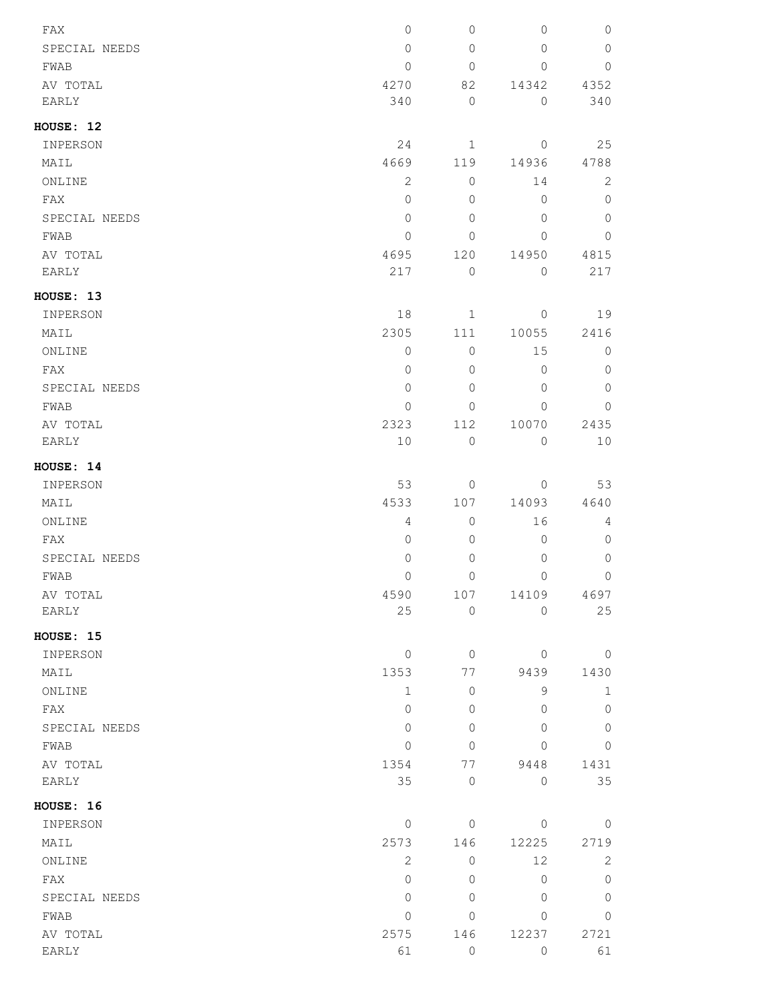| FAX           | 0                   | 0                   | 0              | $\circ$        |
|---------------|---------------------|---------------------|----------------|----------------|
| SPECIAL NEEDS | 0                   | 0                   | $\circ$        | $\mathbf{0}$   |
| FWAB          | $\mathbf{0}$        | 0                   | $\Omega$       | $\mathbf 0$    |
| AV TOTAL      | 4270                | 82                  | 14342          | 4352           |
| <b>EARLY</b>  | 340                 | $\circ$             | $\mathbf{0}$   | 340            |
| HOUSE: 12     |                     |                     |                |                |
| INPERSON      | 24                  | $\mathbf{1}$        | $\mathbf 0$    | 25             |
| MAIL          | 4669                | 119                 | 14936          | 4788           |
| ONLINE        | $\mathbf{2}$        | $\circ$             | 14             | 2              |
| FAX           | 0                   | $\overline{0}$      | $\circ$        | $\circledcirc$ |
| SPECIAL NEEDS | $\mathbf{0}$        | $\Omega$            | $\circ$        | $\circ$        |
| FWAB          | 0                   | 0                   | $\Omega$       | $\circ$        |
| AV TOTAL      | 4695                | 120                 | 14950          | 4815           |
| EARLY         | 217                 | $\circ$             | $\circ$        | 217            |
| HOUSE: 13     |                     |                     |                |                |
| INPERSON      | 18                  | $\mathbf{1}$        | $\circ$        | 19             |
| MAIL          | 2305                | 111                 | 10055          | 2416           |
| ONLINE        | 0                   | $\mathsf{O}\xspace$ | 15             | $\circledcirc$ |
| FAX           | 0                   | 0                   | 0              | $\circ$        |
| SPECIAL NEEDS | 0                   | 0                   | 0              | $\circ$        |
| FWAB          | $\mathbf{0}$        | 0                   | $\circ$        | $\circ$        |
| AV TOTAL      | 2323                | 112                 | 10070          | 2435           |
| EARLY         | 10                  | $\mathbb O$         | $\circledcirc$ | $10$           |
| HOUSE: 14     |                     |                     |                |                |
| INPERSON      | 53                  | $\circ$             | 0              | 53             |
| MAIL          | 4533                | 107                 | 14093          | 4640           |
| ONLINE        | 4                   | 0                   | 16             | 4              |
| FAX           | 0                   | 0                   | $\mathbf 0$    | $\circledcirc$ |
| SPECIAL NEEDS | 0                   | 0                   | 0              | $\circledcirc$ |
| <b>FWAB</b>   | $\mathbf{0}$        | 0                   | 0              | 0              |
| AV TOTAL      | 4590                | 107                 | 14109          | 4697           |
| EARLY         | 25                  | $\circ$             | $\circ$        | 25             |
| HOUSE: 15     |                     |                     |                |                |
| INPERSON      | $\circ$             | $\circ$             | $\circ$        | $\overline{0}$ |
| MAIL          | 1353                | 77                  | 9439           | 1430           |
| ONLINE        | $\mathbf{1}$        | $\mathbb O$         | 9              | $\mathbf{1}$   |
| FAX           | $\circ$             | $\circ$             | 0              | $\circ$        |
| SPECIAL NEEDS | 0                   | $\circ$             | $\Omega$       | $\mathbf{0}$   |
| FWAB          | $\mathsf{O}\xspace$ | $\circ$             | $\circ$        | $\circ$        |
| AV TOTAL      | 1354                | 77                  | 9448           | 1431           |
| EARLY         | 35                  | $\mathbb O$         | $\circledcirc$ | 35             |
| HOUSE: 16     |                     |                     |                |                |
| INPERSON      | $\circ$             | $\circ$             | $\mathbf{0}$   | $\circ$        |
| MAIL          | 2573                | 146                 | 12225          | 2719           |
| ONLINE        | $\overline{2}$      | $\circ$             | 12             | $\mathbf{2}$   |
| FAX           | $\overline{0}$      | $\circ$             | $\circ$        | $\circ$        |
| SPECIAL NEEDS | $\mathsf{O}\xspace$ | 0                   | 0              | $\circ$        |
| FWAB          | $\overline{0}$      | 0                   | $\Omega$       | $\mathbf{0}$   |
| AV TOTAL      | 2575                | 146                 | 12237          | 2721           |
| EARLY         | 61                  | $\mathbb O$         | $\circ$        | 61             |
|               |                     |                     |                |                |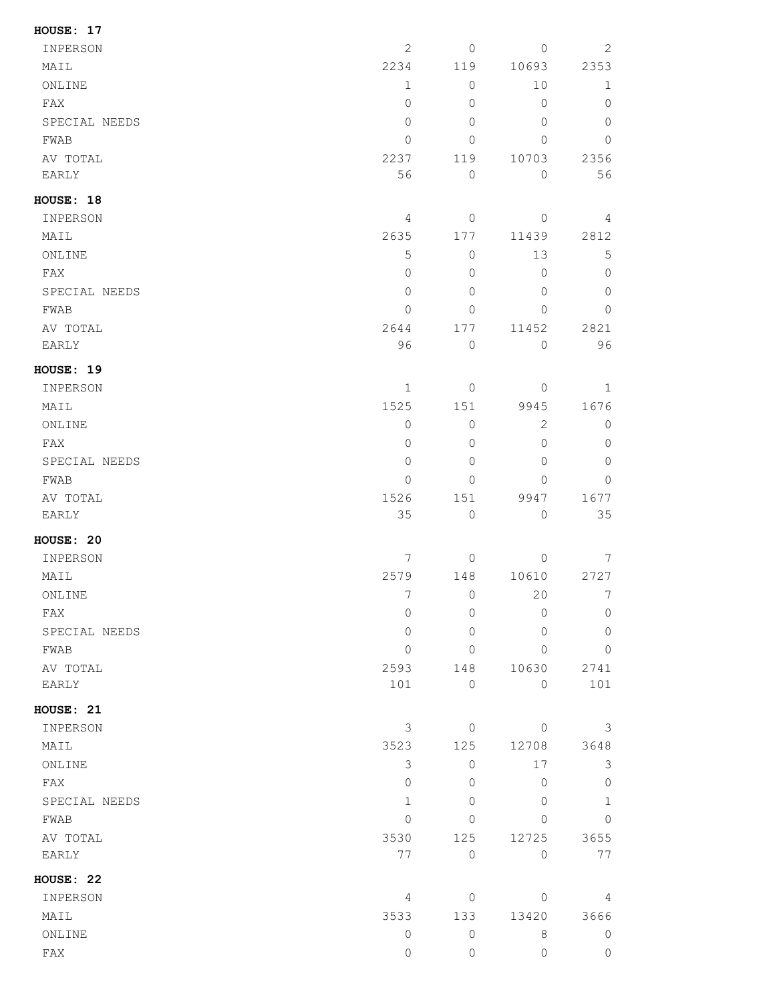| HOUSE: 17     |                |                |                     |                     |
|---------------|----------------|----------------|---------------------|---------------------|
| INPERSON      | $\mathbf{2}$   | $\circ$        | $\mathsf{O}\xspace$ | 2                   |
| MAIL          | 2234           | 119            | 10693               | 2353                |
| ONLINE        | $\mathbf 1$    | $\mathbb O$    | 10                  | $\mathbf 1$         |
| FAX           | 0              | $\mathsf{O}$   | 0                   | $\mathbf 0$         |
| SPECIAL NEEDS | $\circ$        | $\mathbf{0}$   | $\mathbf{0}$        | 0                   |
| FWAB          | 0              | 0              | $\mathbf{0}$        | 0                   |
| AV TOTAL      | 2237           | 119            | 10703               | 2356                |
| <b>EARLY</b>  | 56             | $\circ$        | $\circ$             | 56                  |
| HOUSE: 18     |                |                |                     |                     |
| INPERSON      | 4              | $\circ$        | $\circ$             | 4                   |
| MAIL          | 2635           | 177            | 11439               | 2812                |
| ONLINE        | 5              | $\mathbb O$    | 13                  | $\mathsf S$         |
| FAX           | $\circ$        | 0              | $\mathbf{0}$        | $\mathbf 0$         |
| SPECIAL NEEDS | $\overline{0}$ | 0              | $\mathbf{0}$        | $\mathbf{0}$        |
| FWAB          | $\circ$        | 0              | 0                   | 0                   |
| AV TOTAL      | 2644           | 177            | 11452               | 2821                |
| EARLY         | 96             | 0              | $\mathsf{O}\xspace$ | 96                  |
|               |                |                |                     |                     |
| HOUSE: 19     |                |                |                     |                     |
| INPERSON      | 1              | 0              | $\mathbf 0$         | $\mathbf{1}$        |
| MAIL          | 1525           | 151            | 9945                | 1676                |
| ONLINE        | $\overline{0}$ | $\overline{0}$ | 2                   | $\mathbf 0$         |
| FAX           | $\overline{0}$ | $\circ$        | $\mathbf{0}$        | $\mathbb O$         |
| SPECIAL NEEDS | $\circ$        | $\circ$        | $\circ$             | $\mathbf 0$         |
| FWAB          | 0              | 0              | $\overline{0}$      | $\circ$             |
| AV TOTAL      | 1526           | 151            | 9947                | 1677                |
| EARLY         | 35             | $\mathbb O$    | $\mathsf{O}\xspace$ | 35                  |
| HOUSE: 20     |                |                |                     |                     |
| INPERSON      | 7              | $\circ$        | $\circ$             | 7                   |
| MAIL          | 2579           | 148            | 10610               | 2727                |
| ONLINE        | 7              | $\mathbb O$    | 20                  | 7                   |
| FAX           | 0              | 0              | $\mathsf{O}\xspace$ | $\mathsf{O}\xspace$ |
| SPECIAL NEEDS | 0              | 0              | $\mathbf{0}$        | $\mathbb O$         |
| FWAB          | 0              | 0              | $\mathbf{0}$        | $\overline{0}$      |
| AV TOTAL      | 2593           | 148            | 10630               | 2741                |
| <b>EARLY</b>  | 101            | $\mathsf{O}$   | $\circ$             | 101                 |
| HOUSE: 21     |                |                |                     |                     |
| INPERSON      | 3              | $\circ$        | $\circ$             | 3                   |
| MAIL          | 3523           | 125            | 12708               | 3648                |
| ONLINE        | 3              | $\circ$        | 17                  | 3                   |
| FAX           | $\overline{0}$ | $\overline{0}$ | $\overline{0}$      | $\mathbb O$         |
| SPECIAL NEEDS | $\mathbf{1}$   | $\mathsf{O}$   | $\mathbf{0}$        | $\mathbf 1$         |
| FWAB          | $\circ$        | 0              | 0                   | 0                   |
| AV TOTAL      | 3530           | 125            | 12725               | 3655                |
| EARLY         | 77             | $\mathbb O$    | $\mathsf{O}\xspace$ | 77                  |
|               |                |                |                     |                     |
| HOUSE: 22     |                |                |                     |                     |
| INPERSON      | 4              | $\circ$        | $\circ$             | 4                   |
| MAIL          | 3533           | 133            | 13420               | 3666                |
| ONLINE        | $\mathbb O$    | $\mathbb O$    | 8                   | $\circ$             |
| FAX           | 0              | $\mathbb O$    | $\mathsf{O}\xspace$ | $\overline{0}$      |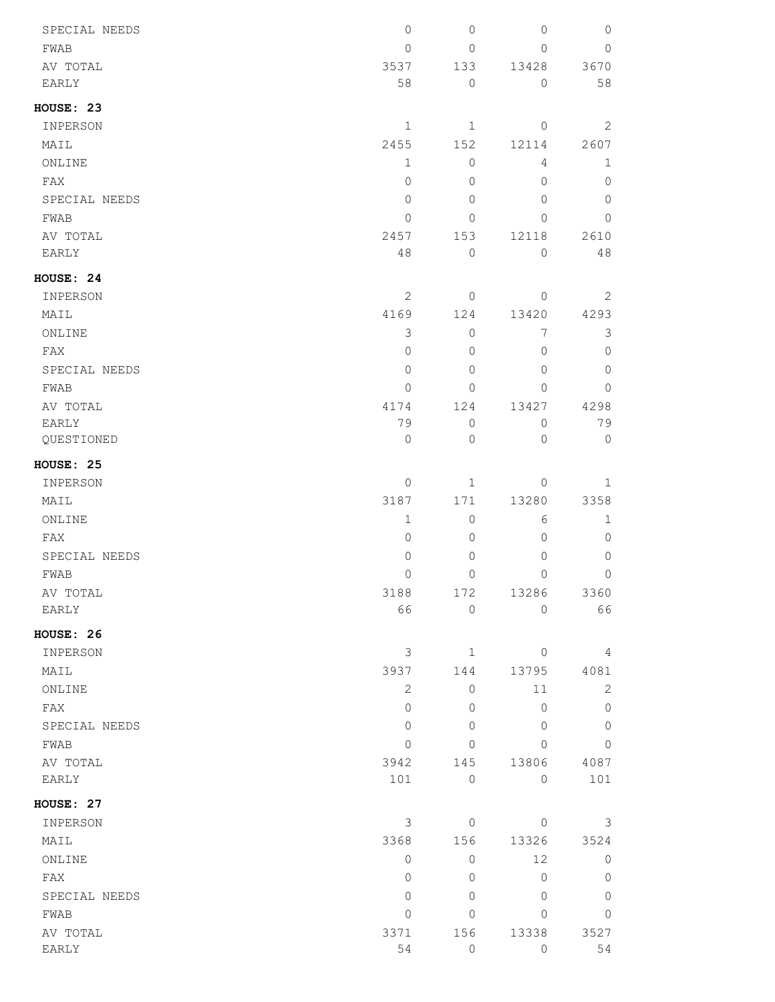| SPECIAL NEEDS         | $\circ$        | $\circ$             | $\mathbf 0$         | $\circ$           |
|-----------------------|----------------|---------------------|---------------------|-------------------|
| FWAB                  | $\circ$        | $\circ$             | $\mathbf{0}$        | $\circ$           |
| AV TOTAL              | 3537           | 133                 | 13428               | 3670              |
| EARLY                 | 58             | $\mathsf{O}$        | $\circ$             | 58                |
| HOUSE: 23             |                |                     |                     |                   |
| INPERSON              | 1              | 1                   | $\mathbf 0$         | $\mathbf{2}$      |
| MAIL                  | 2455           | 152                 | 12114               | 2607              |
| ONLINE                | $\mathbf 1$    | 0                   | 4                   | 1                 |
| FAX                   | $\circ$        | 0                   | $\mathbf{0}$        | $\mathbb O$       |
| SPECIAL NEEDS         | $\circ$        | $\mathbf 0$         | $\mathbf{0}$        | $\mathbb O$       |
| FWAB                  | 0              | 0                   | 0                   | $\mathbf{0}$      |
| AV TOTAL              | 2457           | 153                 | 12118               | 2610              |
| EARLY                 | $4\,8$         | 0                   | $\mathbb O$         | 48                |
|                       |                |                     |                     |                   |
| HOUSE: 24<br>INPERSON | $\mathbf{2}$   | 0                   | $\overline{0}$      | 2                 |
| MAIL                  | 4169           | 124                 | 13420               | 4293              |
|                       |                |                     | 7                   |                   |
| ONLINE                | 3              | 0                   |                     | 3                 |
| FAX                   | $\circ$        | $\circ$             | 0                   | $\mathbb O$       |
| SPECIAL NEEDS         | 0              | 0                   | 0                   | $\mathbb O$       |
| FWAB                  | 0              | 0                   | $\Omega$            | $\circ$           |
| AV TOTAL              | 4174           | 124                 | 13427               | 4298              |
| EARLY                 | 79             | $\circ$             | 0<br>$\mathbf 0$    | 79<br>$\mathbb O$ |
| QUESTIONED            | $\circ$        | $\mathsf{O}$        |                     |                   |
| HOUSE: 25             |                |                     |                     |                   |
| INPERSON              | 0              | $\mathbf 1$         | $\overline{0}$      | 1                 |
| MAIL                  | 3187           | 171                 | 13280               | 3358              |
| ONLINE                | $\mathbf 1$    | 0                   | 6                   | $\mathbf 1$       |
| FAX                   | 0              | 0                   | 0                   | $\mathbb O$       |
| SPECIAL NEEDS         | 0              | 0                   | 0                   | $\mathbb O$       |
| FWAB                  | 0              | 0                   | 0                   | $\mathbf 0$       |
| AV TOTAL              | 3188           | 172                 | 13286               | 3360              |
| EARLY                 | 66             | $\mathsf O$         | 0                   | 66                |
| <b>HOUSE: 26</b>      |                |                     |                     |                   |
| INPERSON              | 3              | $\mathbf{1}$        | $\circ$             | 4                 |
| MAIL                  | 3937           | 144                 | 13795               | 4081              |
| ONLINE                | $\mathbf{2}$   | $\circ$             | 11                  | 2                 |
| FAX                   | $\mathbf{0}$   | 0                   | $\mathbf{0}$        | $\circledcirc$    |
| SPECIAL NEEDS         | $\overline{0}$ | 0                   | $\overline{0}$      | $\circledcirc$    |
| FWAB                  | $\mathbf{0}$   | 0                   | $\overline{0}$      | $\circ$           |
| AV TOTAL              | 3942           | 145                 | 13806               | 4087              |
| EARLY                 | 101            | $\mathsf{O}\xspace$ | $\mathbf{0}$        | 101               |
| HOUSE: 27             |                |                     |                     |                   |
| INPERSON              | 3              | 0                   | $\mathsf{O}\xspace$ | 3                 |
| MAIL                  | 3368           | 156                 | 13326               | 3524              |
| ONLINE                | $\mathbf 0$    | $\mathsf{O}\xspace$ | 12                  | $\mathbb O$       |
| FAX                   | $\overline{0}$ | 0                   | $\circ$             | $\circ$           |
| SPECIAL NEEDS         | $\mathbb O$    | 0                   | 0                   | $\circ$           |
| FWAB                  | $\mathbf 0$    | 0                   | $\mathbf{0}$        | $\circ$           |
| AV TOTAL              | 3371           | 156                 | 13338               | 3527              |
| EARLY                 | 54             | $\mathsf{O}\xspace$ | $\circ$             | 54                |
|                       |                |                     |                     |                   |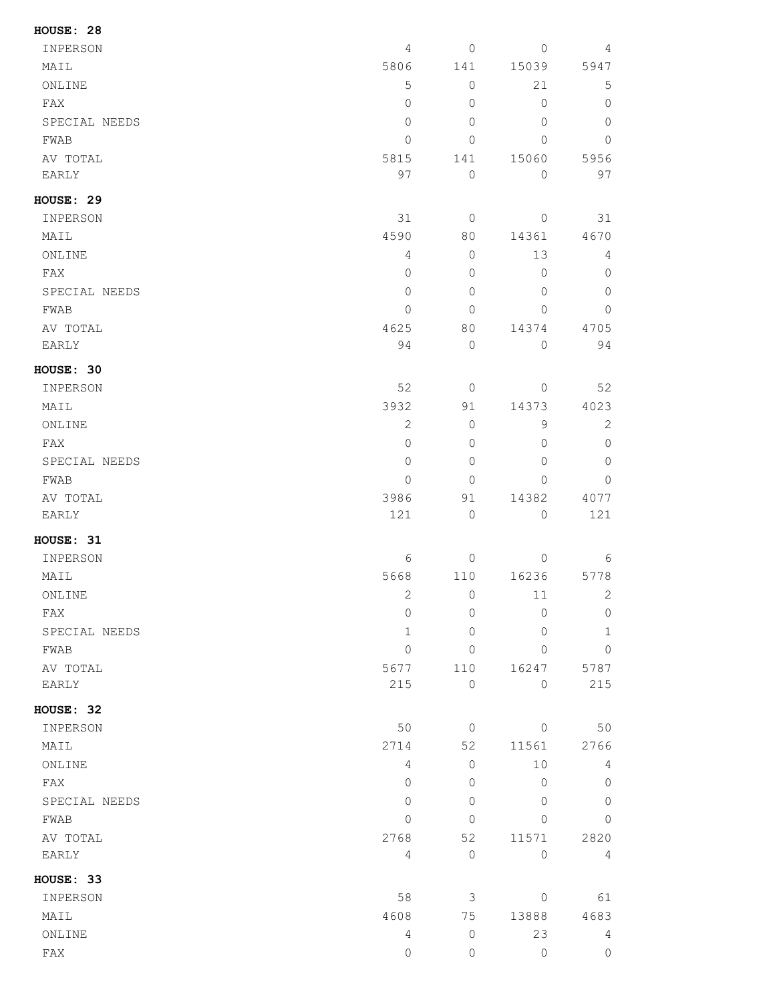| HOUSE: 28         |                        |                            |                       |                            |
|-------------------|------------------------|----------------------------|-----------------------|----------------------------|
| INPERSON          | 4                      | $\mathsf{O}$               | $\mathsf{O}\xspace$   | $\overline{4}$             |
| MAIL              | 5806                   | 141                        | 15039                 | 5947                       |
| ONLINE            | 5                      | $\mathbb O$                | 21                    | $\mathsf S$                |
| FAX               | 0                      | $\mathsf{O}$               | 0                     | $\mathbb O$                |
| SPECIAL NEEDS     | $\circ$                | $\mathbf{0}$               | $\mathbf{0}$          | 0                          |
| FWAB              | 0                      | 0                          | $\mathbf{0}$          | $\mathbf 0$                |
| AV TOTAL          | 5815                   | 141                        | 15060                 | 5956                       |
| EARLY             | 97                     | $\mathsf{O}$               | $\circ$               | 97                         |
| HOUSE: 29         |                        |                            |                       |                            |
| INPERSON          | 31                     | $\circ$                    | $\circ$               | 31                         |
| MAIL              | 4590                   | 80                         | 14361                 | 4670                       |
| ONLINE            | $\overline{4}$         | $\mathsf{O}$               | 13                    | 4                          |
| FAX               | $\circ$                | $\circ$                    | $\mathbf{0}$          | $\mathbf 0$                |
| SPECIAL NEEDS     | $\overline{0}$         | 0                          | $\mathbf{0}$          | $\mathbf 0$                |
| FWAB              | $\circ$                | $\mathbf 0$                | 0                     | 0                          |
| AV TOTAL          | 4625                   | 80                         | 14374                 | 4705                       |
| EARLY             | 94                     | $\mathsf{O}$               | $\mathsf{O}\xspace$   | 94                         |
| HOUSE: 30         |                        |                            |                       |                            |
| INPERSON          | 52                     | $\circ$                    | $\mathbf 0$           | 52                         |
| MAIL              | 3932                   | 91                         | 14373                 | 4023                       |
| ONLINE            | $\mathbf{2}$           | $\overline{0}$             | $\mathsf 9$           | $\mathbf{2}$               |
| FAX               | $\mathbb O$            | $\circ$                    | $\mathbf{0}$          | $\mathbb O$                |
| SPECIAL NEEDS     | $\mathbb O$            | $\mathsf{O}$               | $\mathbf{0}$          | $\overline{0}$             |
| FWAB              | 0                      | $\circ$                    | 0                     | $\circ$                    |
| AV TOTAL          | 3986                   | 91                         | 14382                 | 4077                       |
| EARLY             | 121                    | $\mathbb O$                | $\mathsf{O}\xspace$   | 121                        |
| HOUSE: 31         |                        |                            |                       |                            |
| INPERSON          | 6                      | $\circ$                    | $\circ$               | 6                          |
| MAIL              | 5668                   | 110                        | 16236                 | 5778                       |
| ONLINE            | $\mathbf{2}$           | $\mathbb O$                | 11                    | 2                          |
| FAX               | 0                      | 0                          | $\mathsf{O}\xspace$   | $\mathsf{O}\xspace$        |
| SPECIAL NEEDS     | 1                      | 0                          | $\overline{0}$        | $\mathbf 1$                |
| FWAB              | $\mathbb O$            | 0                          | 0                     | $\mathbb O$                |
| AV TOTAL          | 5677                   | 110                        | 16247                 | 5787                       |
| <b>EARLY</b>      | 215                    | $\mathsf{O}\xspace$        | $\circ$               | 215                        |
|                   |                        |                            |                       |                            |
| HOUSE: 32         | 50                     | $\circ$                    | $\circ$               | 50                         |
| INPERSON<br>MAIL  |                        |                            |                       |                            |
|                   | 2714<br>$\overline{4}$ | 52                         | 11561                 | 2766                       |
| ONLINE            | $\overline{0}$         | $\mathbb O$                | 10<br>$\overline{0}$  | 4                          |
| FAX               | $\mathbb O$            | $\mathbb O$<br>$\mathbb O$ | $\mathbf{0}$          | $\mathbb O$<br>$\mathbf 0$ |
| SPECIAL NEEDS     |                        |                            |                       |                            |
| FWAB              | $\circ$                | $\circ$<br>52              | 0                     | 0                          |
| AV TOTAL<br>EARLY | 2768<br>4              | $\mathbb O$                | 11571<br>$\mathsf{O}$ | 2820<br>4                  |
|                   |                        |                            |                       |                            |
| HOUSE: 33         |                        |                            |                       |                            |
| INPERSON          | 58                     | 3                          | $\circ$               | 61                         |
| MAIL              | 4608                   | 75                         | 13888                 | 4683                       |
| ONLINE            | $\overline{4}$         | $\mathbb O$                | 23                    | 4                          |
| FAX               | 0                      | $\mathbb O$                | $\mathsf{O}\xspace$   | $\mathbb O$                |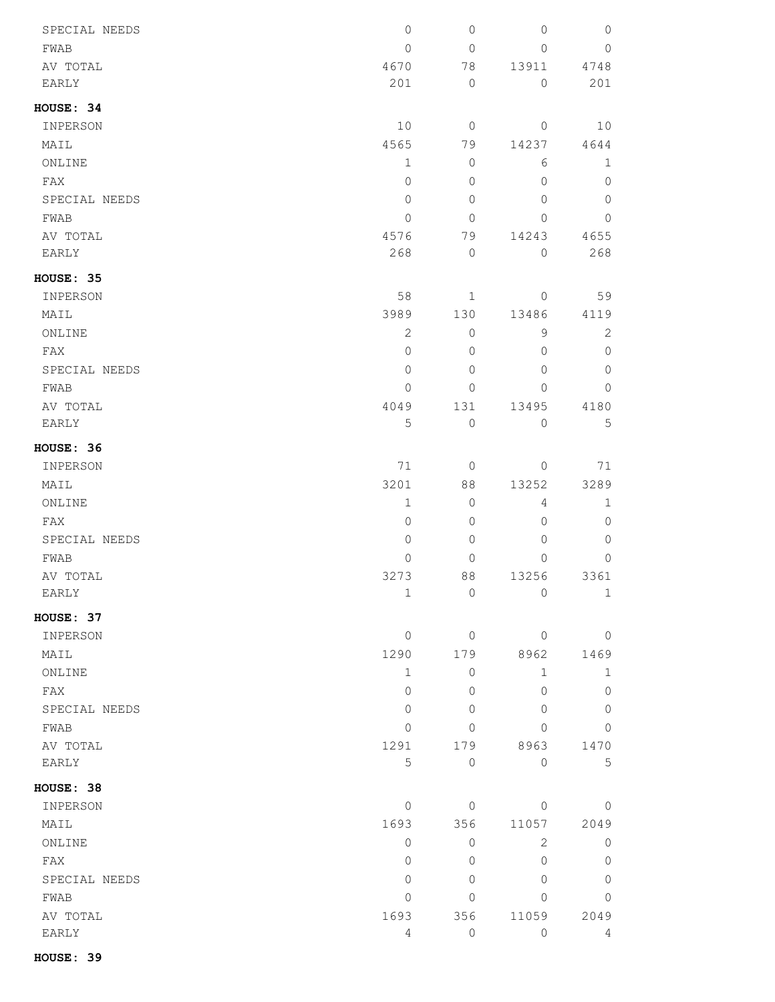| SPECIAL NEEDS | $\mathbb O$    | $\circ$      | $\mathbb O$  | $\circ$        |
|---------------|----------------|--------------|--------------|----------------|
| FWAB          | $\mathbf 0$    | $\mathbf 0$  | $\mathbb O$  | $\mathbb O$    |
| AV TOTAL      | 4670           | 78           | 13911        | 4748           |
| EARLY         | 201            | 0            | $\circ$      | 201            |
| HOUSE: 34     |                |              |              |                |
| INPERSON      | 10             | $\circ$      | $\circ$      | 10             |
| MAIL          | 4565           | 79           | 14237        | 4644           |
| ONLINE        | $1\,$          | $\mathbb O$  | 6            | $\mathbf 1$    |
| FAX           | $\mathbb O$    | $\circ$      | $\circ$      | $\mathbb O$    |
| SPECIAL NEEDS | $\mathbb O$    | 0            | $\mathbb O$  | $\mathbb O$    |
| FWAB          | 0              | $\mathbf{0}$ | $\circ$      | $\mathbf 0$    |
| AV TOTAL      | 4576           | 79           | 14243        | 4655           |
| EARLY         | 268            | $\mathbb O$  | $\mathbb O$  | 268            |
| HOUSE: 35     |                |              |              |                |
| INPERSON      | 58             | $\mathbf{1}$ | $\circ$      | 59             |
| MAIL          | 3989           | 130          | 13486        | 4119           |
| ONLINE        | 2              | $\mathbb O$  | 9            | $\mathbf{2}$   |
| FAX           | 0              | 0            | $\mathbf 0$  | $\mathbb O$    |
| SPECIAL NEEDS | $\mathbb O$    | 0            | $\mathbf 0$  | $\mathbf 0$    |
| FWAB          | 0              | 0            | $\mathbf{0}$ | $\circ$        |
| AV TOTAL      | 4049           | 131          | 13495        | 4180           |
| EARLY         | 5              | 0            | $\mathbb O$  | $\mathsf S$    |
| HOUSE: 36     |                |              |              |                |
| INPERSON      | 71             | $\circ$      | $\mathbb O$  | 71             |
| MAIL          | 3201           | 88           | 13252        | 3289           |
| ONLINE        | $\mathbf 1$    | 0            | 4            | $\mathbf 1$    |
| FAX           | $\mathbb O$    | 0            | $\circ$      | $\mathbb O$    |
| SPECIAL NEEDS | 0              | 0            | $\mathbf 0$  | $\mathbb O$    |
| FWAB          | 0              | 0            | $\mathbf 0$  | $\mathbf 0$    |
| AV TOTAL      | 3273           | 88           | 13256        | 3361           |
| EARLY         | $\mathbf 1$    | $\mathbb O$  | $\circ$      | $\mathbf 1$    |
| HOUSE: 37     |                |              |              |                |
| INPERSON      | $\circ$        | 0            | $\circ$      | $\circ$        |
| MAIL          | 1290           | 179          | 8962         | 1469           |
| ONLINE        | 1              | 0            | $\mathbf 1$  | 1              |
| FAX           | $\Omega$       | 0            | $\Omega$     | $\mathbf 0$    |
| SPECIAL NEEDS | $\overline{0}$ | 0            | 0            | $\mathbb O$    |
| FWAB          | 0              | 0            | $\mathbf{0}$ | 0              |
| AV TOTAL      | 1291           | 179          | 8963         | 1470           |
| EARLY         | 5              | 0            | 0            | 5              |
| HOUSE: 38     |                |              |              |                |
| INPERSON      | $\circ$        | $\circ$      | 0            | $\circ$        |
| MAIL          | 1693           | 356          | 11057        | 2049           |
| ONLINE        | $\mathbf{0}$   | 0            | 2            | $\circ$        |
| FAX           | $\overline{0}$ | $\circ$      | $\circ$      | $\mathbb O$    |
| SPECIAL NEEDS | $\mathbf 0$    | 0            | $\circ$      | $\circ$        |
| FWAB          | 0              | 0            | $\mathbf{0}$ | $\circ$        |
| AV TOTAL      | 1693           | 356          | 11059        | 2049           |
| EARLY         | 4              | 0            | $\circ$      | $\overline{4}$ |
|               |                |              |              |                |